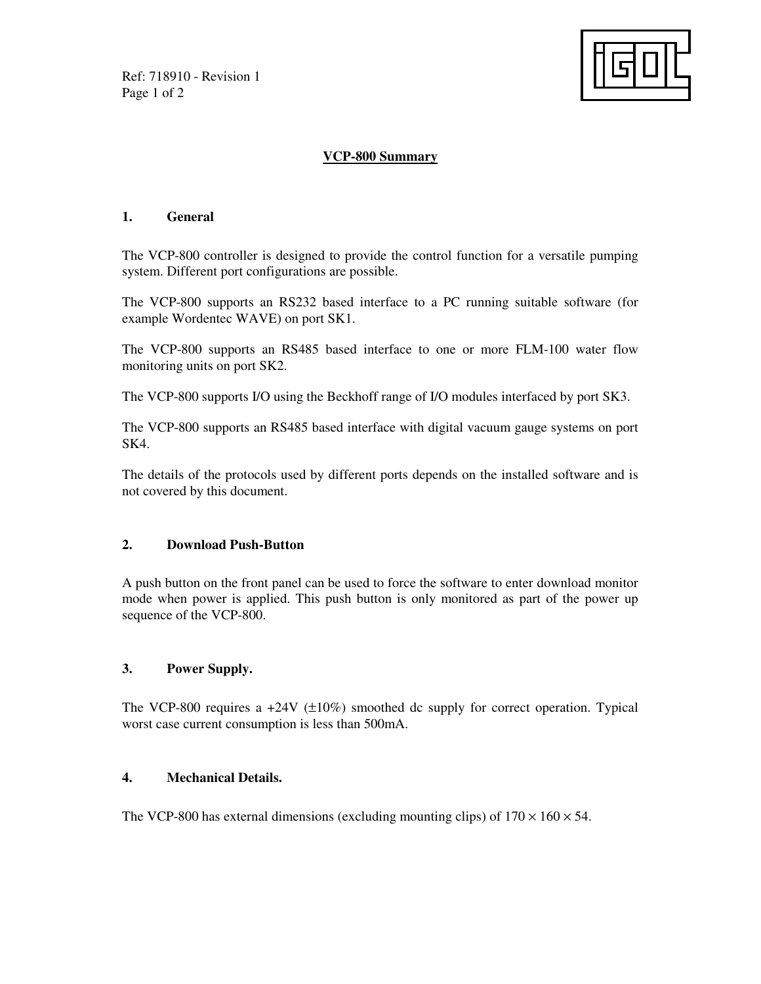Ref: 718910 - Revision 1 Page 1 of 2



# **VCP-800 Summary**

### **1. General**

The VCP-800 controller is designed to provide the control function for a versatile pumping system. Different port configurations are possible.

The VCP-800 supports an RS232 based interface to a PC running suitable software (for example Wordentec WAVE) on port SK1.

The VCP-800 supports an RS485 based interface to one or more FLM-100 water flow monitoring units on port SK2.

The VCP-800 supports I/O using the Beckhoff range of I/O modules interfaced by port SK3.

The VCP-800 supports an RS485 based interface with digital vacuum gauge systems on port SK4.

The details of the protocols used by different ports depends on the installed software and is not covered by this document.

## **2. Download Push-Button**

A push button on the front panel can be used to force the software to enter download monitor mode when power is applied. This push button is only monitored as part of the power up sequence of the VCP-800.

## **3. Power Supply.**

The VCP-800 requires a  $+24V$  ( $\pm 10\%$ ) smoothed dc supply for correct operation. Typical worst case current consumption is less than 500mA.

## **4. Mechanical Details.**

The VCP-800 has external dimensions (excluding mounting clips) of  $170 \times 160 \times 54$ .